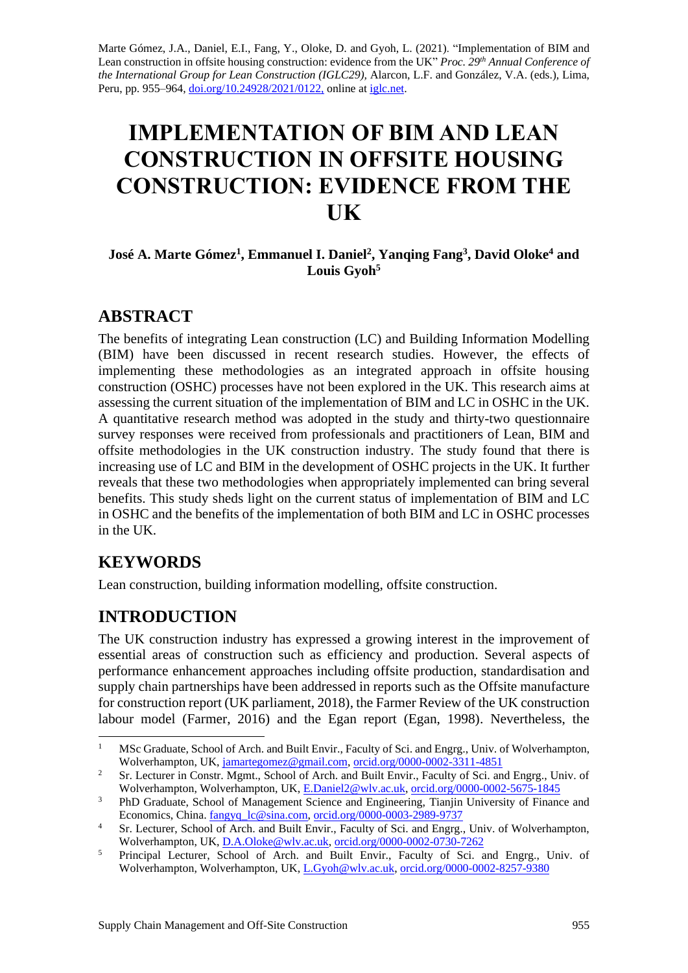Marte Gómez, J.A., Daniel, E.I., Fang, Y., Oloke, D. and Gyoh, L. (2021). "Implementation of BIM and Lean construction in offsite housing construction: evidence from the UK" *Proc. 29 th Annual Conference of the International Group for Lean Construction (IGLC29),* Alarcon, L.F. and González, V.A. (eds.)*,* Lima, Peru, pp. 955–964, [doi.org/10.24928/2021/0122,](https://doi.org/10.24928/2021/0122) online at [iglc.net.](http://iglc.net/)

# **IMPLEMENTATION OF BIM AND LEAN CONSTRUCTION IN OFFSITE HOUSING CONSTRUCTION: EVIDENCE FROM THE UK**

#### **José A. Marte Gómez<sup>1</sup> , Emmanuel I. Daniel<sup>2</sup> , Yanqing Fang<sup>3</sup> , David Oloke<sup>4</sup> and Louis Gyoh<sup>5</sup>**

# **ABSTRACT**

The benefits of integrating Lean construction (LC) and Building Information Modelling (BIM) have been discussed in recent research studies. However, the effects of implementing these methodologies as an integrated approach in offsite housing construction (OSHC) processes have not been explored in the UK. This research aims at assessing the current situation of the implementation of BIM and LC in OSHC in the UK. A quantitative research method was adopted in the study and thirty-two questionnaire survey responses were received from professionals and practitioners of Lean, BIM and offsite methodologies in the UK construction industry. The study found that there is increasing use of LC and BIM in the development of OSHC projects in the UK. It further reveals that these two methodologies when appropriately implemented can bring several benefits. This study sheds light on the current status of implementation of BIM and LC in OSHC and the benefits of the implementation of both BIM and LC in OSHC processes in the UK.

# **KEYWORDS**

Lean construction, building information modelling, offsite construction.

# **INTRODUCTION**

The UK construction industry has expressed a growing interest in the improvement of essential areas of construction such as efficiency and production. Several aspects of performance enhancement approaches including offsite production, standardisation and supply chain partnerships have been addressed in reports such as the Offsite manufacture for construction report (UK parliament, 2018), the Farmer Review of the UK construction labour model (Farmer, 2016) and the Egan report (Egan, 1998). Nevertheless, the

<sup>&</sup>lt;sup>1</sup> MSc Graduate, School of Arch. and Built Envir., Faculty of Sci. and Engrg., Univ. of Wolverhampton, Wolverhampton, UK[, jamartegomez@gmail.com,](mailto:jamartegomez@gmail.com) [orcid.org/0000-0002-3311-4851](https://orcid.org/0000-0002-3311-4851)

<sup>&</sup>lt;sup>2</sup> Sr. Lecturer in Constr. Mgmt., School of Arch. and Built Envir., Faculty of Sci. and Engrg., Univ. of Wolverhampton, Wolverhampton, UK[, E.Daniel2@wlv.ac.uk,](mailto:E.Daniel2@wlv.ac.uk) [orcid.org/0000-0002-5675-1845](https://orcid.org/0000-0002-5675-1845)

<sup>&</sup>lt;sup>3</sup> PhD Graduate, School of Management Science and Engineering, Tianjin University of Finance and Economics, China. [fangyq\\_lc@sina.com,](mailto:fangyq_lc@sina.com) [orcid.org/0000-0003-2989-9737](https://orcid.org/0000-0003-2989-9737)

<sup>&</sup>lt;sup>4</sup> Sr. Lecturer, School of Arch. and Built Envir., Faculty of Sci. and Engrg., Univ. of Wolverhampton, Wolverhampton, UK, [D.A.Oloke@wlv.ac.uk,](mailto:D.A.Oloke@wlv.ac.uk) [orcid.org/0000-0002-0730-7262](https://orcid.org/0000-0002-0730-7262)

<sup>&</sup>lt;sup>5</sup> Principal Lecturer, School of Arch. and Built Envir., Faculty of Sci. and Engrg., Univ. of Wolverhampton, Wolverhampton, UK, [L.Gyoh@wlv.ac.uk,](mailto:L.Gyoh@wlv.ac.uk) [orcid.org/0000-0002-8257-9380](https://orcid.org/0000-0002-8257-9380)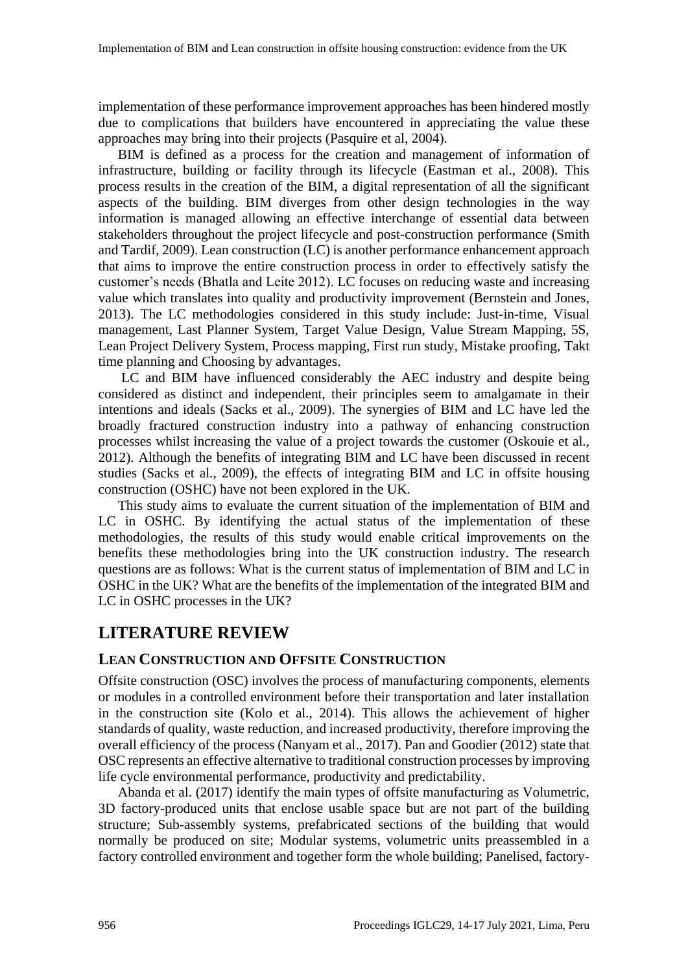implementation of these performance improvement approaches has been hindered mostly due to complications that builders have encountered in appreciating the value these approaches may bring into their projects (Pasquire et al, 2004).

BIM is defined as a process for the creation and management of information of infrastructure, building or facility through its lifecycle (Eastman et al., 2008). This process results in the creation of the BIM, a digital representation of all the significant aspects of the building. BIM diverges from other design technologies in the way information is managed allowing an effective interchange of essential data between stakeholders throughout the project lifecycle and post-construction performance (Smith and Tardif, 2009). Lean construction (LC) is another performance enhancement approach that aims to improve the entire construction process in order to effectively satisfy the customer's needs (Bhatla and Leite 2012). LC focuses on reducing waste and increasing value which translates into quality and productivity improvement (Bernstein and Jones, 2013). The LC methodologies considered in this study include: Just-in-time, Visual management, Last Planner System, Target Value Design, Value Stream Mapping, 5S, Lean Project Delivery System, Process mapping, First run study, Mistake proofing, Takt time planning and Choosing by advantages.

LC and BIM have influenced considerably the AEC industry and despite being considered as distinct and independent, their principles seem to amalgamate in their intentions and ideals (Sacks et al., 2009). The synergies of BIM and LC have led the broadly fractured construction industry into a pathway of enhancing construction processes whilst increasing the value of a project towards the customer (Oskouie et al., 2012). Although the benefits of integrating BIM and LC have been discussed in recent studies (Sacks et al., 2009), the effects of integrating BIM and LC in offsite housing construction (OSHC) have not been explored in the UK.

This study aims to evaluate the current situation of the implementation of BIM and LC in OSHC. By identifying the actual status of the implementation of these methodologies, the results of this study would enable critical improvements on the benefits these methodologies bring into the UK construction industry. The research questions are as follows: What is the current status of implementation of BIM and LC in OSHC in the UK? What are the benefits of the implementation of the integrated BIM and LC in OSHC processes in the UK?

## **LITERATURE REVIEW**

#### **LEAN CONSTRUCTION AND OFFSITE CONSTRUCTION**

Offsite construction (OSC) involves the process of manufacturing components, elements or modules in a controlled environment before their transportation and later installation in the construction site (Kolo et al., 2014). This allows the achievement of higher standards of quality, waste reduction, and increased productivity, therefore improving the overall efficiency of the process (Nanyam et al., 2017). Pan and Goodier (2012) state that OSC represents an effective alternative to traditional construction processes by improving life cycle environmental performance, productivity and predictability.

Abanda et al. (2017) identify the main types of offsite manufacturing as Volumetric, 3D factory-produced units that enclose usable space but are not part of the building structure; Sub-assembly systems, prefabricated sections of the building that would normally be produced on site; Modular systems, volumetric units preassembled in a factory controlled environment and together form the whole building; Panelised, factory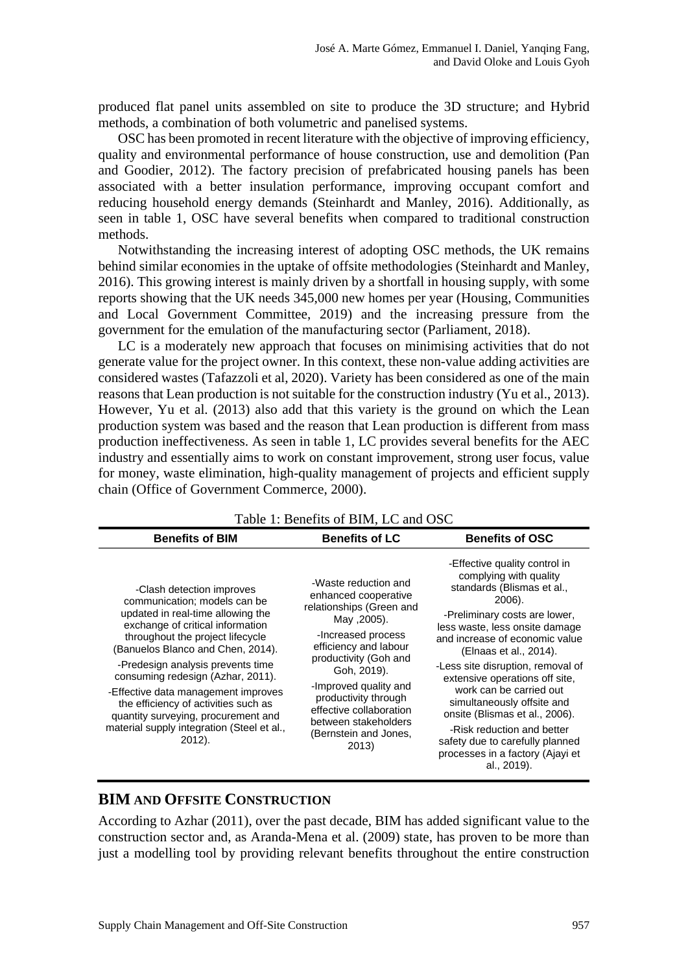produced flat panel units assembled on site to produce the 3D structure; and Hybrid methods, a combination of both volumetric and panelised systems.

OSC has been promoted in recent literature with the objective of improving efficiency, quality and environmental performance of house construction, use and demolition (Pan and Goodier, 2012). The factory precision of prefabricated housing panels has been associated with a better insulation performance, improving occupant comfort and reducing household energy demands (Steinhardt and Manley, 2016). Additionally, as seen in table 1, OSC have several benefits when compared to traditional construction methods.

Notwithstanding the increasing interest of adopting OSC methods, the UK remains behind similar economies in the uptake of offsite methodologies (Steinhardt and Manley, 2016). This growing interest is mainly driven by a shortfall in housing supply, with some reports showing that the UK needs 345,000 new homes per year (Housing, Communities and Local Government Committee, 2019) and the increasing pressure from the government for the emulation of the manufacturing sector (Parliament, 2018).

LC is a moderately new approach that focuses on minimising activities that do not generate value for the project owner. In this context, these non-value adding activities are considered wastes (Tafazzoli et al, 2020). Variety has been considered as one of the main reasons that Lean production is not suitable for the construction industry (Yu et al., 2013). However, Yu et al. (2013) also add that this variety is the ground on which the Lean production system was based and the reason that Lean production is different from mass production ineffectiveness. As seen in table 1, LC provides several benefits for the AEC industry and essentially aims to work on constant improvement, strong user focus, value for money, waste elimination, high-quality management of projects and efficient supply chain (Office of Government Commerce, 2000).

| Table 1. Bellefits of BINI, LC and OSC                                                                                                                                                                                                                                                                                                                                                                                                                              |                                                                                                                                                                                                                                                                                                                      |                                                                                                                                                                                                                                                                                                                                                                                                                                                                                                                      |
|---------------------------------------------------------------------------------------------------------------------------------------------------------------------------------------------------------------------------------------------------------------------------------------------------------------------------------------------------------------------------------------------------------------------------------------------------------------------|----------------------------------------------------------------------------------------------------------------------------------------------------------------------------------------------------------------------------------------------------------------------------------------------------------------------|----------------------------------------------------------------------------------------------------------------------------------------------------------------------------------------------------------------------------------------------------------------------------------------------------------------------------------------------------------------------------------------------------------------------------------------------------------------------------------------------------------------------|
| <b>Benefits of BIM</b>                                                                                                                                                                                                                                                                                                                                                                                                                                              | <b>Benefits of LC</b>                                                                                                                                                                                                                                                                                                | <b>Benefits of OSC</b>                                                                                                                                                                                                                                                                                                                                                                                                                                                                                               |
| -Clash detection improves<br>communication; models can be<br>updated in real-time allowing the<br>exchange of critical information<br>throughout the project lifecycle<br>(Banuelos Blanco and Chen, 2014).<br>-Predesign analysis prevents time<br>consuming redesign (Azhar, 2011).<br>-Effective data management improves<br>the efficiency of activities such as<br>quantity surveying, procurement and<br>material supply integration (Steel et al.,<br>2012). | -Waste reduction and<br>enhanced cooperative<br>relationships (Green and<br>May .2005).<br>-Increased process<br>efficiency and labour<br>productivity (Goh and<br>Goh, 2019).<br>-Improved quality and<br>productivity through<br>effective collaboration<br>between stakeholders<br>(Bernstein and Jones,<br>2013) | -Effective quality control in<br>complying with quality<br>standards (Blismas et al.,<br>2006).<br>-Preliminary costs are lower,<br>less waste, less onsite damage<br>and increase of economic value<br>(Elnaas et al., 2014).<br>-Less site disruption, removal of<br>extensive operations off site,<br>work can be carried out<br>simultaneously offsite and<br>onsite (Blismas et al., 2006).<br>-Risk reduction and better<br>safety due to carefully planned<br>processes in a factory (Ajayi et<br>al., 2019). |

Table 1: Benefits of BIM, LC and OSC

#### **BIM AND OFFSITE CONSTRUCTION**

According to Azhar (2011), over the past decade, BIM has added significant value to the construction sector and, as Aranda-Mena et al. (2009) state, has proven to be more than just a modelling tool by providing relevant benefits throughout the entire construction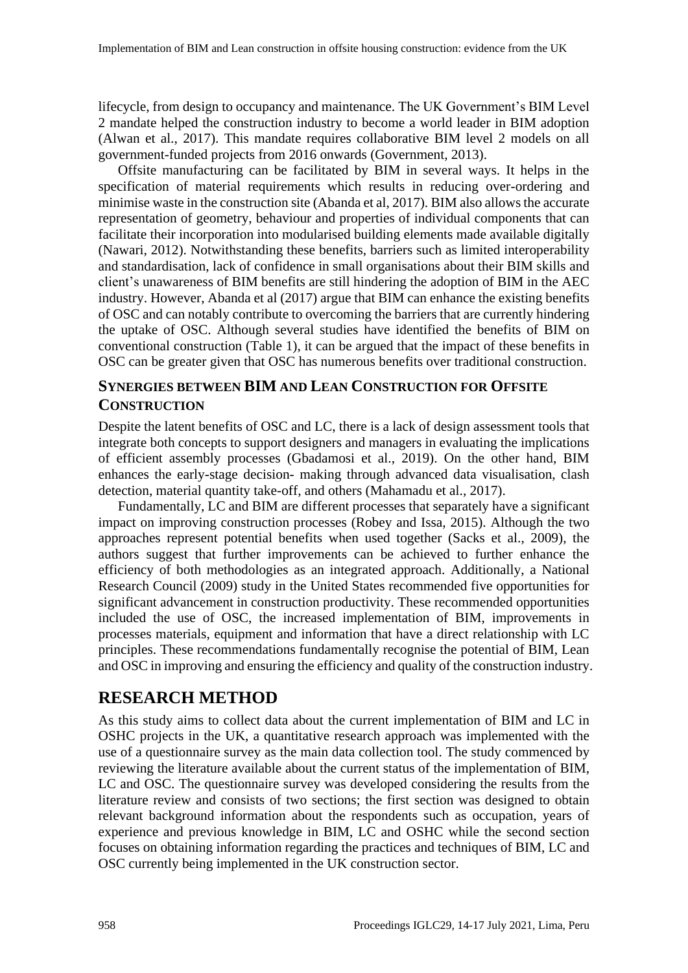lifecycle, from design to occupancy and maintenance. The UK Government's BIM Level 2 mandate helped the construction industry to become a world leader in BIM adoption (Alwan et al., 2017). This mandate requires collaborative BIM level 2 models on all government-funded projects from 2016 onwards (Government, 2013).

Offsite manufacturing can be facilitated by BIM in several ways. It helps in the specification of material requirements which results in reducing over-ordering and minimise waste in the construction site (Abanda et al, 2017). BIM also allows the accurate representation of geometry, behaviour and properties of individual components that can facilitate their incorporation into modularised building elements made available digitally (Nawari, 2012). Notwithstanding these benefits, barriers such as limited interoperability and standardisation, lack of confidence in small organisations about their BIM skills and client's unawareness of BIM benefits are still hindering the adoption of BIM in the AEC industry. However, Abanda et al (2017) argue that BIM can enhance the existing benefits of OSC and can notably contribute to overcoming the barriers that are currently hindering the uptake of OSC. Although several studies have identified the benefits of BIM on conventional construction (Table 1), it can be argued that the impact of these benefits in OSC can be greater given that OSC has numerous benefits over traditional construction.

#### **SYNERGIES BETWEEN BIM AND LEAN CONSTRUCTION FOR OFFSITE CONSTRUCTION**

Despite the latent benefits of OSC and LC, there is a lack of design assessment tools that integrate both concepts to support designers and managers in evaluating the implications of efficient assembly processes (Gbadamosi et al., 2019). On the other hand, BIM enhances the early-stage decision- making through advanced data visualisation, clash detection, material quantity take-off, and others [\(Mahamadu et al., 2017\)](https://www-sciencedirect-com.ezproxy.wlv.ac.uk/science/article/pii/S0959652619301258?via%3Dihub&bib20).

Fundamentally, LC and BIM are different processes that separately have a significant impact on improving construction processes (Robey and Issa, 2015). Although the two approaches represent potential benefits when used together (Sacks et al., 2009), the authors suggest that further improvements can be achieved to further enhance the efficiency of both methodologies as an integrated approach. Additionally, a National Research Council (2009) study in the United States recommended five opportunities for significant advancement in construction productivity. These recommended opportunities included the use of OSC, the increased implementation of BIM, improvements in processes materials, equipment and information that have a direct relationship with LC principles. These recommendations fundamentally recognise the potential of BIM, Lean and OSC in improving and ensuring the efficiency and quality of the construction industry.

## **RESEARCH METHOD**

As this study aims to collect data about the current implementation of BIM and LC in OSHC projects in the UK, a quantitative research approach was implemented with the use of a questionnaire survey as the main data collection tool. The study commenced by reviewing the literature available about the current status of the implementation of BIM, LC and OSC. The questionnaire survey was developed considering the results from the literature review and consists of two sections; the first section was designed to obtain relevant background information about the respondents such as occupation, years of experience and previous knowledge in BIM, LC and OSHC while the second section focuses on obtaining information regarding the practices and techniques of BIM, LC and OSC currently being implemented in the UK construction sector.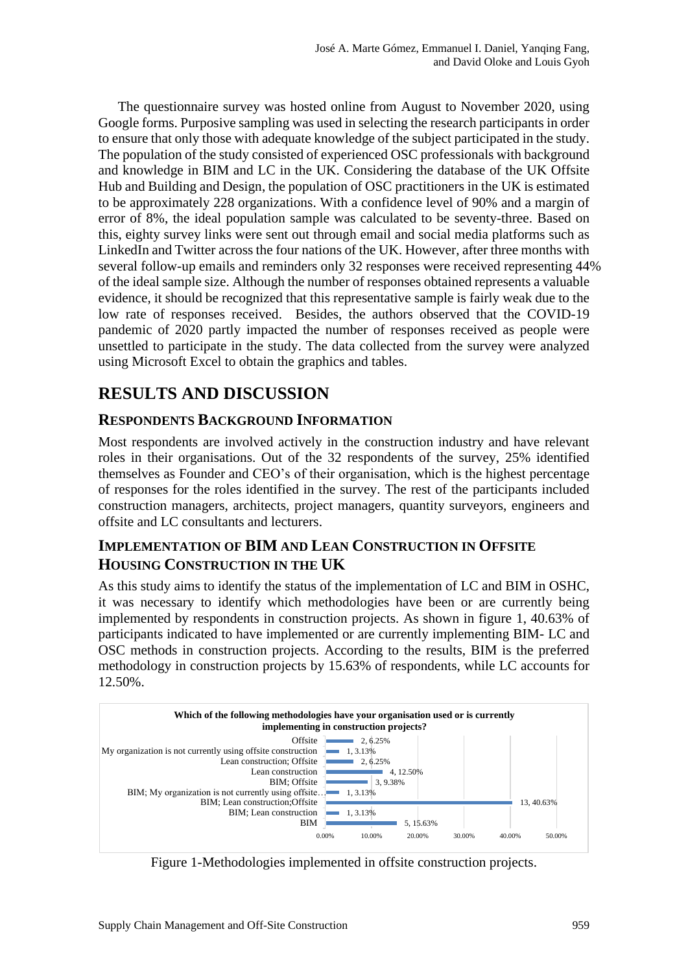The questionnaire survey was hosted online from August to November 2020, using Google forms. Purposive sampling was used in selecting the research participants in order to ensure that only those with adequate knowledge of the subject participated in the study. The population of the study consisted of experienced OSC professionals with background and knowledge in BIM and LC in the UK. Considering the database of the UK Offsite Hub and Building and Design, the population of OSC practitioners in the UK is estimated to be approximately 228 organizations. With a confidence level of 90% and a margin of error of 8%, the ideal population sample was calculated to be seventy-three. Based on this, eighty survey links were sent out through email and social media platforms such as LinkedIn and Twitter across the four nations of the UK. However, after three months with several follow-up emails and reminders only 32 responses were received representing 44% of the ideal sample size. Although the number of responses obtained represents a valuable evidence, it should be recognized that this representative sample is fairly weak due to the low rate of responses received. Besides, the authors observed that the COVID-19 pandemic of 2020 partly impacted the number of responses received as people were unsettled to participate in the study. The data collected from the survey were analyzed using Microsoft Excel to obtain the graphics and tables.

# **RESULTS AND DISCUSSION**

#### **RESPONDENTS BACKGROUND INFORMATION**

Most respondents are involved actively in the construction industry and have relevant roles in their organisations. Out of the 32 respondents of the survey, 25% identified themselves as Founder and CEO's of their organisation, which is the highest percentage of responses for the roles identified in the survey. The rest of the participants included construction managers, architects, project managers, quantity surveyors, engineers and offsite and LC consultants and lecturers.

#### **IMPLEMENTATION OF BIM AND LEAN CONSTRUCTION IN OFFSITE HOUSING CONSTRUCTION IN THE UK**

As this study aims to identify the status of the implementation of LC and BIM in OSHC, it was necessary to identify which methodologies have been or are currently being implemented by respondents in construction projects. As shown in figure 1, 40.63% of participants indicated to have implemented or are currently implementing BIM- LC and OSC methods in construction projects. According to the results, BIM is the preferred methodology in construction projects by 15.63% of respondents, while LC accounts for 12.50%.



Figure 1-Methodologies implemented in offsite construction projects.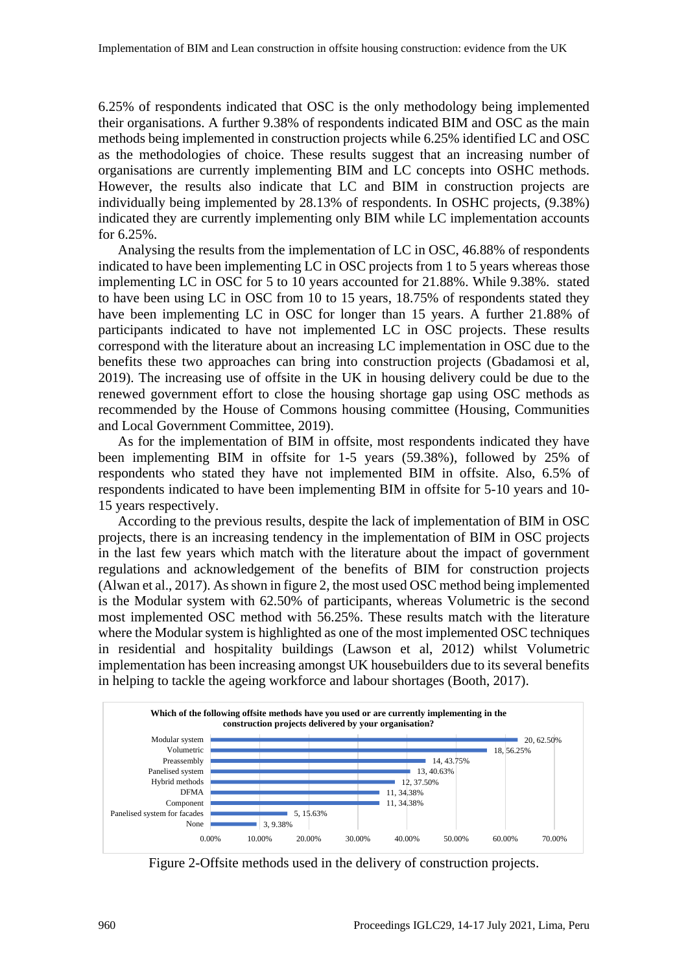6.25% of respondents indicated that OSC is the only methodology being implemented their organisations. A further 9.38% of respondents indicated BIM and OSC as the main methods being implemented in construction projects while 6.25% identified LC and OSC as the methodologies of choice. These results suggest that an increasing number of organisations are currently implementing BIM and LC concepts into OSHC methods. However, the results also indicate that LC and BIM in construction projects are individually being implemented by 28.13% of respondents. In OSHC projects, (9.38%) indicated they are currently implementing only BIM while LC implementation accounts for 6.25%.

Analysing the results from the implementation of LC in OSC, 46.88% of respondents indicated to have been implementing LC in OSC projects from 1 to 5 years whereas those implementing LC in OSC for 5 to 10 years accounted for 21.88%. While 9.38%. stated to have been using LC in OSC from 10 to 15 years, 18.75% of respondents stated they have been implementing LC in OSC for longer than 15 years. A further 21.88% of participants indicated to have not implemented LC in OSC projects. These results correspond with the literature about an increasing LC implementation in OSC due to the benefits these two approaches can bring into construction projects (Gbadamosi et al, 2019). The increasing use of offsite in the UK in housing delivery could be due to the renewed government effort to close the housing shortage gap using OSC methods as recommended by the House of Commons housing committee (Housing, Communities and Local Government Committee, 2019).

As for the implementation of BIM in offsite, most respondents indicated they have been implementing BIM in offsite for 1-5 years (59.38%), followed by 25% of respondents who stated they have not implemented BIM in offsite. Also, 6.5% of respondents indicated to have been implementing BIM in offsite for 5-10 years and 10- 15 years respectively.

According to the previous results, despite the lack of implementation of BIM in OSC projects, there is an increasing tendency in the implementation of BIM in OSC projects in the last few years which match with the literature about the impact of government regulations and acknowledgement of the benefits of BIM for construction projects (Alwan et al., 2017). As shown in figure 2, the most used OSC method being implemented is the Modular system with 62.50% of participants, whereas Volumetric is the second most implemented OSC method with 56.25%. These results match with the literature where the Modular system is highlighted as one of the most implemented OSC techniques in residential and hospitality buildings (Lawson et al, 2012) whilst Volumetric implementation has been increasing amongst UK housebuilders due to its several benefits in helping to tackle the ageing workforce and labour shortages (Booth, 2017).



Figure 2-Offsite methods used in the delivery of construction projects.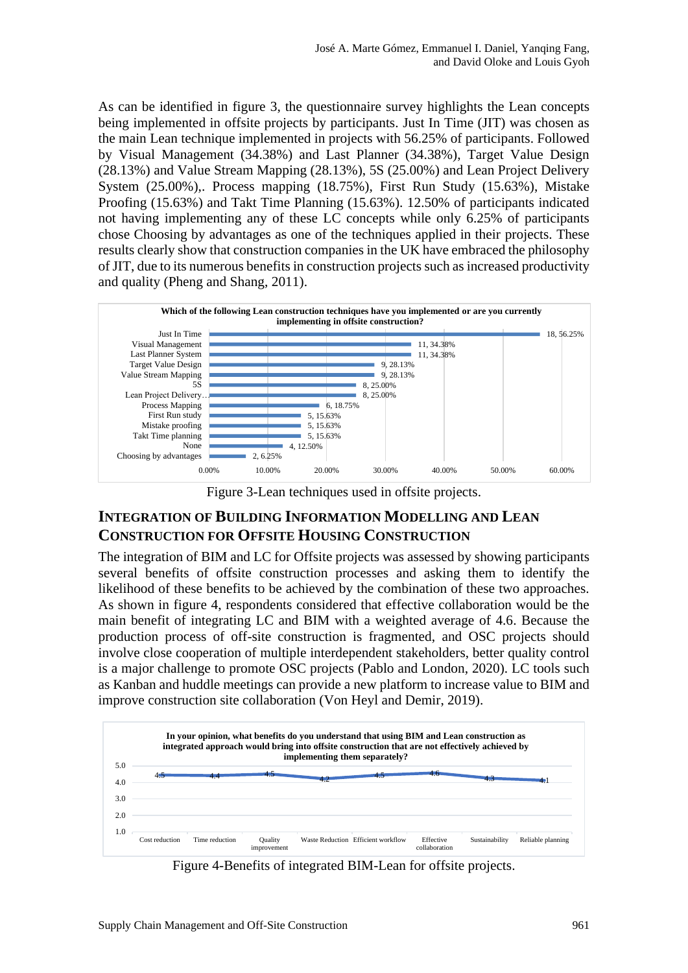As can be identified in figure 3, the questionnaire survey highlights the Lean concepts being implemented in offsite projects by participants. Just In Time (JIT) was chosen as the main Lean technique implemented in projects with 56.25% of participants. Followed by Visual Management (34.38%) and Last Planner (34.38%), Target Value Design (28.13%) and Value Stream Mapping (28.13%), 5S (25.00%) and Lean Project Delivery System (25.00%),. Process mapping (18.75%), First Run Study (15.63%), Mistake Proofing (15.63%) and Takt Time Planning (15.63%). 12.50% of participants indicated not having implementing any of these LC concepts while only 6.25% of participants chose Choosing by advantages as one of the techniques applied in their projects. These results clearly show that construction companies in the UK have embraced the philosophy of JIT, due to its numerous benefits in construction projects such as increased productivity and quality (Pheng and Shang, 2011).



Figure 3-Lean techniques used in offsite projects.

#### **INTEGRATION OF BUILDING INFORMATION MODELLING AND LEAN CONSTRUCTION FOR OFFSITE HOUSING CONSTRUCTION**

The integration of BIM and LC for Offsite projects was assessed by showing participants several benefits of offsite construction processes and asking them to identify the likelihood of these benefits to be achieved by the combination of these two approaches. As shown in figure 4, respondents considered that effective collaboration would be the main benefit of integrating LC and BIM with a weighted average of 4.6. Because the production process of off-site construction is fragmented, and OSC projects should involve close cooperation of multiple interdependent stakeholders, better quality control is a major challenge to promote OSC projects [\(Pablo](https://www.scopus.com/authid/detail.uri?origin=resultslist&authorId=57221716045&zone=) and London, 2020). LC tools such as Kanban and huddle meetings can provide a new platform to increase value to BIM and improve construction site collaboration (Von Heyl and Demir, 2019).



Figure 4-Benefits of integrated BIM-Lean for offsite projects.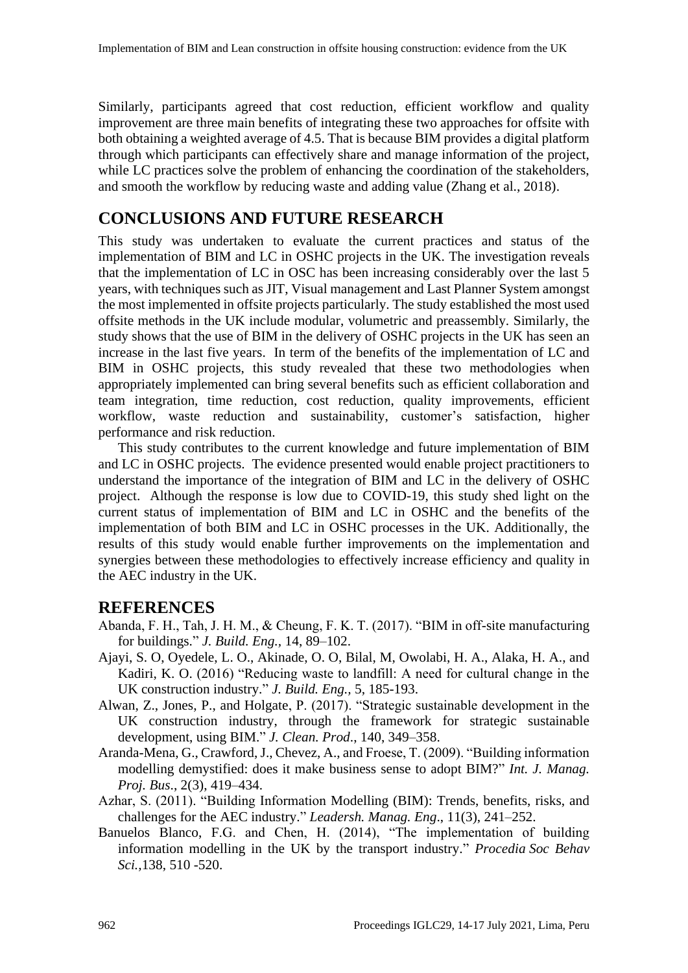Similarly, participants agreed that cost reduction, efficient workflow and quality improvement are three main benefits of integrating these two approaches for offsite with both obtaining a weighted average of 4.5. That is because BIM provides a digital platform through which participants can effectively share and manage information of the project, while LC practices solve the problem of enhancing the coordination of the stakeholders, and smooth the workflow by reducing waste and adding value (Zhang et al., 2018).

## **CONCLUSIONS AND FUTURE RESEARCH**

This study was undertaken to evaluate the current practices and status of the implementation of BIM and LC in OSHC projects in the UK. The investigation reveals that the implementation of LC in OSC has been increasing considerably over the last 5 years, with techniques such as JIT, Visual management and Last Planner System amongst the most implemented in offsite projects particularly. The study established the most used offsite methods in the UK include modular, volumetric and preassembly. Similarly, the study shows that the use of BIM in the delivery of OSHC projects in the UK has seen an increase in the last five years. In term of the benefits of the implementation of LC and BIM in OSHC projects, this study revealed that these two methodologies when appropriately implemented can bring several benefits such as efficient collaboration and team integration, time reduction, cost reduction, quality improvements, efficient workflow, waste reduction and sustainability, customer's satisfaction, higher performance and risk reduction.

This study contributes to the current knowledge and future implementation of BIM and LC in OSHC projects. The evidence presented would enable project practitioners to understand the importance of the integration of BIM and LC in the delivery of OSHC project. Although the response is low due to COVID-19, this study shed light on the current status of implementation of BIM and LC in OSHC and the benefits of the implementation of both BIM and LC in OSHC processes in the UK. Additionally, the results of this study would enable further improvements on the implementation and synergies between these methodologies to effectively increase efficiency and quality in the AEC industry in the UK.

#### **REFERENCES**

- Abanda, F. H., Tah, J. H. M., & Cheung, F. K. T. (2017). "BIM in off-site manufacturing for buildings." *J. Build. Eng.,* 14, 89–102.
- Ajayi, S. O, Oyedele, L. O., Akinade, O. O, Bilal, M, Owolabi, H. A., Alaka, H. A., and Kadiri, K. O. (2016) "Reducing waste to landfill: A need for cultural change in the UK construction industry." *J. Build. Eng.,* 5, 185-193.
- Alwan, Z., Jones, P., and Holgate, P. (2017). "Strategic sustainable development in the UK construction industry, through the framework for strategic sustainable development, using BIM." *J. Clean. Prod*., 140, 349–358.
- Aranda-Mena, G., Crawford, J., Chevez, A., and Froese, T. (2009). "Building information modelling demystified: does it make business sense to adopt BIM?" *Int. J. Manag. Proj. Bus*., 2(3), 419–434.
- Azhar, S. (2011). "Building Information Modelling (BIM): Trends, benefits, risks, and challenges for the AEC industry." *Leadersh. Manag. Eng*., 11(3), 241–252.
- Banuelos Blanco, F.G. and Chen, H. (2014), "The implementation of building information modelling in the UK by the transport industry." *Procedia Soc Behav Sci.,*138, 510 -520.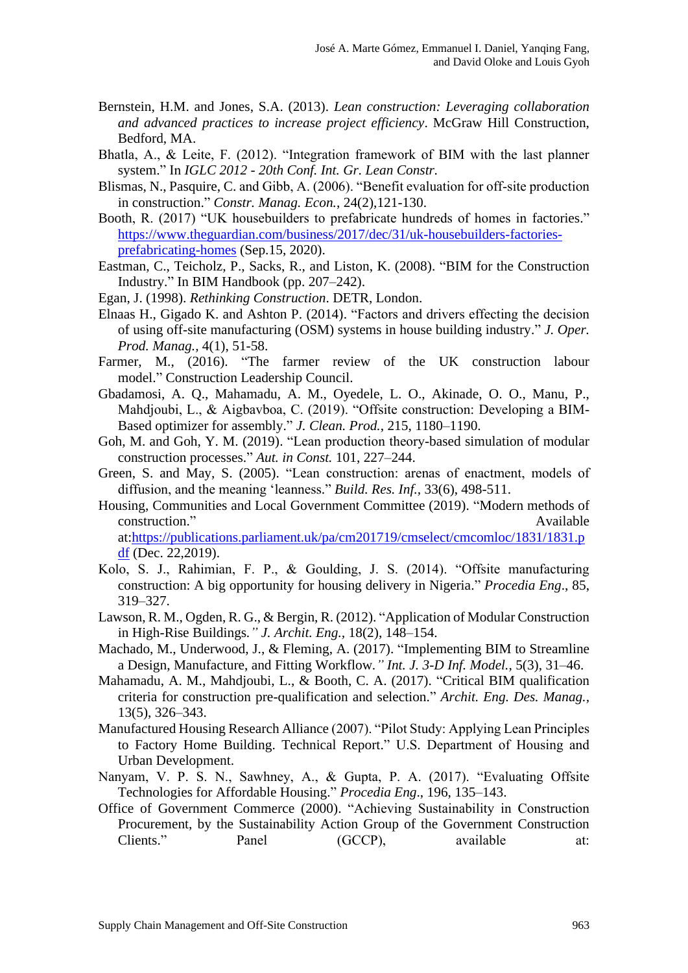- Bernstein, H.M. and Jones, S.A. (2013). *Lean construction: Leveraging collaboration and advanced practices to increase project efficiency*. McGraw Hill Construction, Bedford, MA.
- Bhatla, A., & Leite, F. (2012). "Integration framework of BIM with the last planner system." In *IGLC 2012 - 20th Conf. Int. Gr. Lean Constr.*
- Blismas, N., Pasquire, C. and Gibb, A. (2006). "Benefit evaluation for off‐site production in construction." *Constr. Manag. Econ.*, 24(2),121-130.
- [Booth,](https://www.theguardian.com/profile/robertbooth) R. (2017) "UK housebuilders to prefabricate hundreds of homes in factories." [https://www.theguardian.com/business/2017/dec/31/uk-housebuilders-factories](https://www.theguardian.com/business/2017/dec/31/uk-housebuilders-factories-prefabricating-homes)[prefabricating-homes](https://www.theguardian.com/business/2017/dec/31/uk-housebuilders-factories-prefabricating-homes) (Sep.15, 2020).
- Eastman, C., Teicholz, P., Sacks, R., and Liston, K. (2008). "BIM for the Construction Industry." In BIM Handbook (pp. 207–242).
- Egan, J. (1998). *Rethinking Construction*. DETR, London.
- Elnaas H., Gigado K. and Ashton P. (2014). "Factors and drivers effecting the decision of using off-site manufacturing (OSM) systems in house building industry." *J. Oper. Prod. Manag.,* 4(1), 51-58.
- Farmer, M., (2016). "The farmer review of the UK construction labour model." Construction Leadership Council.
- Gbadamosi, A. Q., Mahamadu, A. M., Oyedele, L. O., Akinade, O. O., Manu, P., Mahdjoubi, L., & Aigbavboa, C. (2019). "Offsite construction: Developing a BIM-Based optimizer for assembly." *J. Clean. Prod.*, 215, 1180–1190.
- Goh, M. and Goh, Y. M. (2019). "Lean production theory-based simulation of modular construction processes." *Aut. in Const.* 101, 227–244.
- Green, S. and May, S. (2005). "Lean construction: arenas of enactment, models of diffusion, and the meaning 'leanness." *Build. Res. Inf.,* 33(6), 498-511.
- Housing, Communities and Local Government Committee (2019). "Modern methods of construction." Available construction." at[:https://publications.parliament.uk/pa/cm201719/cmselect/cmcomloc/1831/1831.p](https://publications.parliament.uk/pa/cm201719/cmselect/cmcomloc/1831/1831.pdf) [df](https://publications.parliament.uk/pa/cm201719/cmselect/cmcomloc/1831/1831.pdf) (Dec. 22,2019).
- Kolo, S. J., Rahimian, F. P., & Goulding, J. S. (2014). "Offsite manufacturing construction: A big opportunity for housing delivery in Nigeria." *Procedia Eng*., 85, 319–327.
- Lawson, R. M., Ogden, R. G., & Bergin, R. (2012). "Application of Modular Construction in High-Rise Buildings*." J. Archit. Eng.,* 18(2), 148–154.
- Machado, M., Underwood, J., & Fleming, A. (2017). "Implementing BIM to Streamline a Design, Manufacture, and Fitting Workflow*." Int. J. 3-D Inf. Model.,* 5(3), 31–46.
- Mahamadu, A. M., Mahdjoubi, L., & Booth, C. A. (2017). "Critical BIM qualification criteria for construction pre-qualification and selection." *Archit. Eng. Des. Manag.,* 13(5), 326–343.
- Manufactured Housing Research Alliance (2007). "Pilot Study: Applying Lean Principles to Factory Home Building. Technical Report." U.S. Department of Housing and Urban Development.
- Nanyam, V. P. S. N., Sawhney, A., & Gupta, P. A. (2017). "Evaluating Offsite Technologies for Affordable Housing." *Procedia Eng*., 196, 135–143.
- Office of Government Commerce (2000). "Achieving Sustainability in Construction Procurement, by the Sustainability Action Group of the Government Construction Clients." Panel (GCCP), available at: